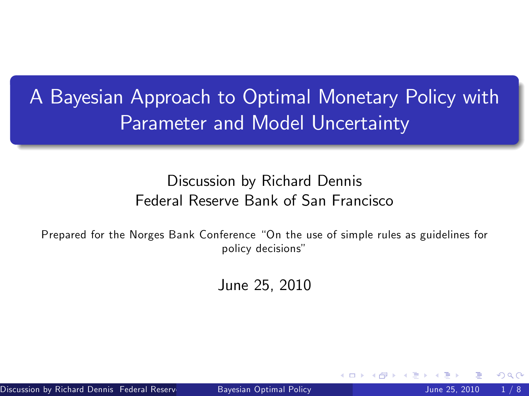A Bayesian Approach to Optimal Monetary Policy with Parameter and Model Uncertainty

#### Discussion by Richard Dennis Federal Reserve Bank of San Francisco

Prepared for the Norges Bank Conference "On the use of simple rules as guidelines for policy decisions"

<span id="page-0-0"></span>June 25, 2010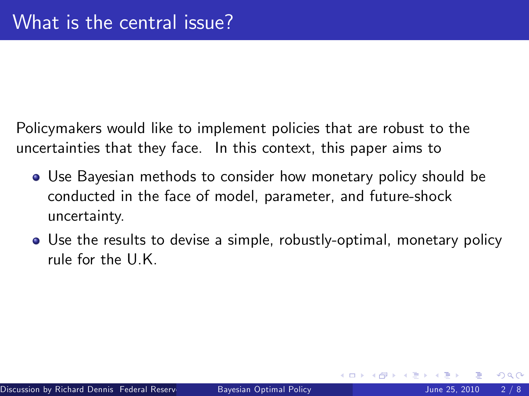Policymakers would like to implement policies that are robust to the uncertainties that they face. In this context, this paper aims to

- Use Bayesian methods to consider how monetary policy should be conducted in the face of model, parameter, and future-shock uncertainty.
- Use the results to devise a simple, robustly-optimal, monetary policy rule for the U.K.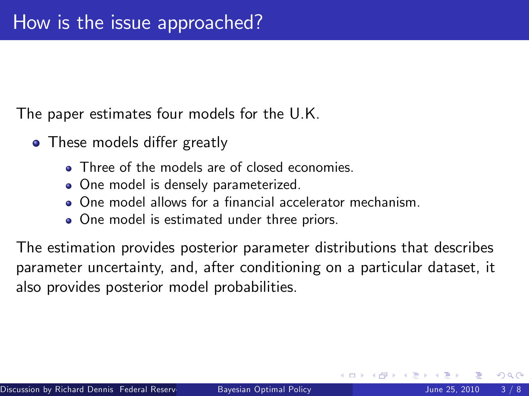The paper estimates four models for the U.K.

- These models differ greatly
	- Three of the models are of closed economies.
	- One model is densely parameterized.
	- **One model allows for a financial accelerator mechanism.**
	- One model is estimated under three priors.

The estimation provides posterior parameter distributions that describes parameter uncertainty, and, after conditioning on a particular dataset, it also provides posterior model probabilities.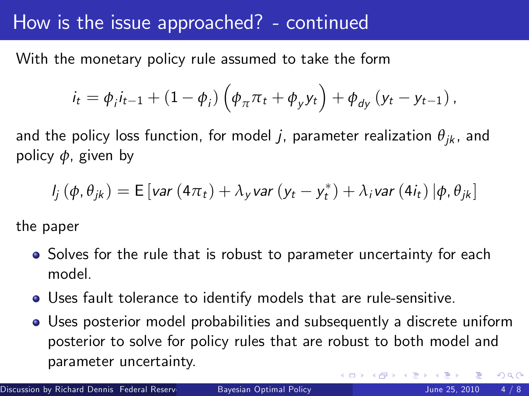## How is the issue approached? - continued

With the monetary policy rule assumed to take the form

$$
i_{t} = \phi_{i}i_{t-1} + (1 - \phi_{i})\left(\phi_{\pi}\pi_{t} + \phi_{y}y_{t}\right) + \phi_{dy}\left(y_{t} - y_{t-1}\right),
$$

and the policy loss function, for model *j*, parameter realization  $\theta_{ik}$ , and policy *φ*, given by

$$
I_j(\phi, \theta_{jk}) = \mathsf{E}\left[\mathsf{var}\left(4\pi_t\right) + \lambda_{y}\mathsf{var}\left(\mathsf{y}_t - \mathsf{y}_t^*\right) + \lambda_{i}\mathsf{var}\left(4i_t\right)|\phi, \theta_{jk}\right]
$$

the paper

- Solves for the rule that is robust to parameter uncertainty for each model.
- Uses fault tolerance to identify models that are rule-sensitive.
- Uses posterior model probabilities and subsequently a discrete uniform posterior to solve for policy rules that are robust to both model and parameter uncertainty.  $\Omega$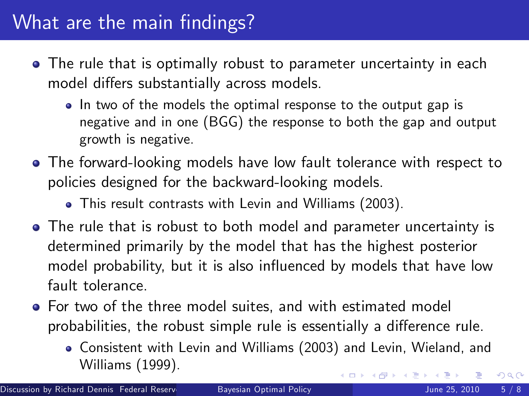# What are the main findings?

- The rule that is optimally robust to parameter uncertainty in each model differs substantially across models.
	- In two of the models the optimal response to the output gap is negative and in one (BGG) the response to both the gap and output growth is negative.
- The forward-looking models have low fault tolerance with respect to policies designed for the backward-looking models.
	- This result contrasts with Levin and Williams (2003).
- The rule that is robust to both model and parameter uncertainty is determined primarily by the model that has the highest posterior model probability, but it is also influenced by models that have low fault tolerance.
- For two of the three model suites, and with estimated model probabilities, the robust simple rule is essentially a difference rule.
	- Consistent with Levin and Williams (2003) and Levin, Wieland, and Williams (1999). 4 D F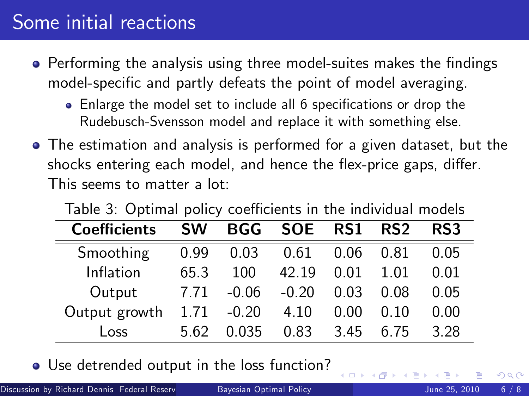# Some initial reactions

- Performing the analysis using three model-suites makes the findings model-specific and partly defeats the point of model averaging.
	- Enlarge the model set to include all 6 specifications or drop the Rudebusch-Svensson model and replace it with something else.
- The estimation and analysis is performed for a given dataset, but the shocks entering each model, and hence the flex-price gaps, differ. This seems to matter a lot:

| <b>Coefficients</b> | <b>SW</b> | <b>BGG</b>    | <b>SOE</b> | RS1  | RS <sub>2</sub> | RS3  |
|---------------------|-----------|---------------|------------|------|-----------------|------|
| Smoothing           | 0.99      | 0.03          | 0.61       | 0.06 | 0.81            | 0.05 |
| Inflation           | 65.3      | 100           | 42.19      | 0.01 | 1.01            | 0.01 |
| Output              | 7.71      | $-0.06$       | $-0.20$    | 0.03 | 0.08            | 0.05 |
| Output growth       |           | $1.71 - 0.20$ | 4.10       | 0.00 | 0.10            | 0.00 |
| Loss                | 5.62      | 0.035         | 0.83       | 3.45 | 6.75            | 3.28 |

Table 3: Optimal policy coefficients in the individual models

Use detrended output in the loss function?

4 D F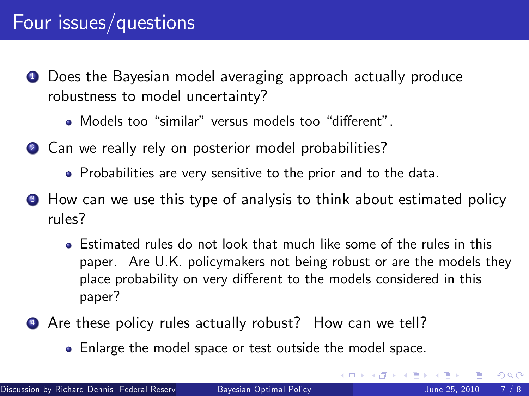## Four issues/questions

- **1** Does the Bayesian model averaging approach actually produce robustness to model uncertainty?
	- Models too "similar" versus models too "different".
- 2 Can we really rely on posterior model probabilities?
	- Probabilities are very sensitive to the prior and to the data.
- <sup>3</sup> How can we use this type of analysis to think about estimated policy rules?
	- Estimated rules do not look that much like some of the rules in this paper. Are U.K. policymakers not being robust or are the models they place probability on very different to the models considered in this paper?
- <sup>4</sup> Are these policy rules actually robust? How can we tell?
	- Enlarge the model space or test outside the model space.